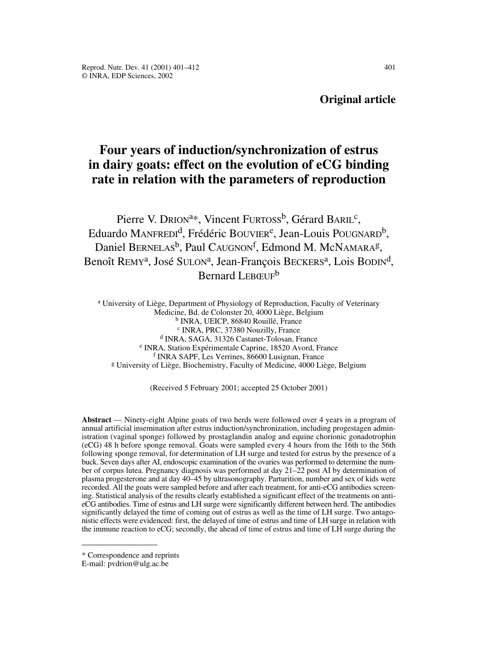# **Original article**

# **Four years of induction/synchronization of estrus in dairy goats: effect on the evolution of eCG binding rate in relation with the parameters of reproduction**

Pierre V. DRION<sup>a\*</sup>, Vincent FURTOSS<sup>b</sup>, Gérard BARIL<sup>c</sup>, Eduardo MANFREDI<sup>d</sup>, Frédéric BOUVIER<sup>e</sup>, Jean-Louis POUGNARD<sup>b</sup>, Daniel BERNELAS<sup>b</sup>, Paul CAUGNON<sup>f</sup>, Edmond M. McNAMARA<sup>g</sup>, Benoît REMY<sup>a</sup>, José SULON<sup>a</sup>, Jean-François BECKERS<sup>a</sup>, Lois BODIN<sup>d</sup>, Bernard LEBŒUF<sup>b</sup>

<sup>a</sup> University of Liège, Department of Physiology of Reproduction, Faculty of Veterinary Medicine, Bd. de Colonster 20, 4000 Liège, Belgium <sup>b</sup> INRA, UEICP, 86840 Rouillé, France <sup>c</sup> INRA, PRC, 37380 Nouzilly, France <sup>d</sup> INRA, SAGA, 31326 Castanet-Tolosan, France <sup>e</sup> INRA, Station Expérimentale Caprine, 18520 Avord, France <sup>f</sup> INRA SAPF, Les Verrines, 86600 Lusignan, France <sup>g</sup> University of Liège, Biochemistry, Faculty of Medicine, 4000 Liège, Belgium

(Received 5 February 2001; accepted 25 October 2001)

**Abstract** — Ninety-eight Alpine goats of two herds were followed over 4 years in a program of annual artificial insemination after estrus induction/synchronization, including progestagen administration (vaginal sponge) followed by prostaglandin analog and equine chorionic gonadotrophin (eCG) 48 h before sponge removal. Goats were sampled every 4 hours from the 16th to the 56th following sponge removal, for determination of LH surge and tested for estrus by the presence of a buck. Seven days after AI, endoscopic examination of the ovaries was performed to determine the number of corpus lutea. Pregnancy diagnosis was performed at day 21–22 post AI by determination of plasma progesterone and at day 40–45 by ultrasonography. Parturition, number and sex of kids were recorded. All the goats were sampled before and after each treatment, for anti-eCG antibodies screening. Statistical analysis of the results clearly established a significant effect of the treatments on antieCG antibodies. Time of estrus and LH surge were significantly different between herd. The antibodies significantly delayed the time of coming out of estrus as well as the time of LH surge. Two antagonistic effects were evidenced: first, the delayed of time of estrus and time of LH surge in relation with the immune reaction to eCG; secondly, the ahead of time of estrus and time of LH surge during the

<sup>\*</sup> Correspondence and reprints

E-mail: pvdrion@ulg.ac.be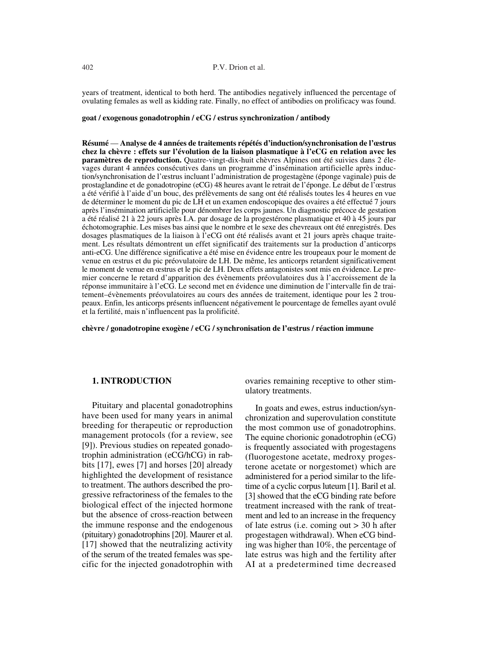years of treatment, identical to both herd. The antibodies negatively influenced the percentage of ovulating females as well as kidding rate. Finally, no effect of antibodies on prolificacy was found.

#### **goat / exogenous gonadotrophin / eCG / estrus synchronization / antibody**

**Résumé** — **Analyse de 4 années de traitements répétés d'induction/synchronisation de l'œstrus chez la chèvre : effets sur l'évolution de la liaison plasmatique à l'eCG en relation avec les paramètres de reproduction.** Quatre-vingt-dix-huit chèvres Alpines ont été suivies dans 2 élevages durant 4 années consécutives dans un programme d'insémination artificielle après induction/synchronisation de l'œstrus incluant l'administration de progestagène (éponge vaginale) puis de prostaglandine et de gonadotropine (eCG) 48 heures avant le retrait de l'éponge. Le début de l'œstrus a été vérifié à l'aide d'un bouc, des prélèvements de sang ont été réalisés toutes les 4 heures en vue de déterminer le moment du pic de LH et un examen endoscopique des ovaires a été effectué 7 jours après l'insémination artificielle pour dénombrer les corps jaunes. Un diagnostic précoce de gestation a été réalisé 21 à 22 jours après I.A. par dosage de la progestérone plasmatique et 40 à 45 jours par échotomographie. Les mises bas ainsi que le nombre et le sexe des chevreaux ont été enregistrés. Des dosages plasmatiques de la liaison à l'eCG ont été réalisés avant et 21 jours après chaque traitement. Les résultats démontrent un effet significatif des traitements sur la production d'anticorps anti-eCG. Une différence significative a été mise en évidence entre les troupeaux pour le moment de venue en œstrus et du pic préovulatoire de LH. De même, les anticorps retardent significativement le moment de venue en œstrus et le pic de LH. Deux effets antagonistes sont mis en évidence. Le premier concerne le retard d'apparition des évènements préovulatoires dus à l'accroissement de la réponse immunitaire à l'eCG. Le second met en évidence une diminution de l'intervalle fin de traitement–évènements préovulatoires au cours des années de traitement, identique pour les 2 troupeaux. Enfin, les anticorps présents influencent négativement le pourcentage de femelles ayant ovulé et la fertilité, mais n'influencent pas la prolificité.

**chèvre / gonadotropine exogène / eCG / synchronisation de l'œstrus / réaction immune**

# **1. INTRODUCTION**

Pituitary and placental gonadotrophins have been used for many years in animal breeding for therapeutic or reproduction management protocols (for a review, see [9]). Previous studies on repeated gonadotrophin administration (eCG/hCG) in rabbits [17], ewes [7] and horses [20] already highlighted the development of resistance to treatment. The authors described the progressive refractoriness of the females to the biological effect of the injected hormone but the absence of cross-reaction between the immune response and the endogenous (pituitary) gonadotrophins [20]. Maurer et al. [17] showed that the neutralizing activity of the serum of the treated females was specific for the injected gonadotrophin with ovaries remaining receptive to other stimulatory treatments.

In goats and ewes, estrus induction/synchronization and superovulation constitute the most common use of gonadotrophins. The equine chorionic gonadotrophin (eCG) is frequently associated with progestagens (fluorogestone acetate, medroxy progesterone acetate or norgestomet) which are administered for a period similar to the lifetime of a cyclic corpus luteum [1]. Baril et al. [3] showed that the eCG binding rate before treatment increased with the rank of treatment and led to an increase in the frequency of late estrus (i.e. coming out > 30 h after progestagen withdrawal). When eCG binding was higher than 10%, the percentage of late estrus was high and the fertility after AI at a predetermined time decreased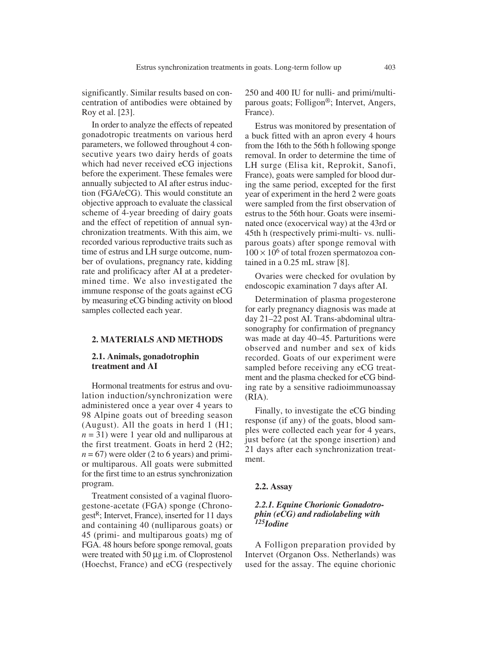significantly. Similar results based on concentration of antibodies were obtained by Roy et al. [23].

In order to analyze the effects of repeated gonadotropic treatments on various herd parameters, we followed throughout 4 consecutive years two dairy herds of goats which had never received eCG injections before the experiment. These females were annually subjected to AI after estrus induction (FGA/eCG). This would constitute an objective approach to evaluate the classical scheme of 4-year breeding of dairy goats and the effect of repetition of annual synchronization treatments. With this aim, we recorded various reproductive traits such as time of estrus and LH surge outcome, number of ovulations, pregnancy rate, kidding rate and prolificacy after AI at a predetermined time. We also investigated the immune response of the goats against eCG by measuring eCG binding activity on blood samples collected each year.

# **2. MATERIALS AND METHODS**

# **2.1. Animals, gonadotrophin treatment and AI**

Hormonal treatments for estrus and ovulation induction/synchronization were administered once a year over 4 years to 98 Alpine goats out of breeding season (August). All the goats in herd 1 (H1;  $n = 31$ ) were 1 year old and nulliparous at the first treatment. Goats in herd 2 (H2;  $n = 67$ ) were older (2 to 6 years) and primior multiparous. All goats were submitted for the first time to an estrus synchronization program.

Treatment consisted of a vaginal fluorogestone-acetate (FGA) sponge (Chronogest<sup>R</sup>; Intervet, France), inserted for 11 days and containing 40 (nulliparous goats) or 45 (primi- and multiparous goats) mg of FGA. 48 hours before sponge removal, goats were treated with 50  $\mu$ g i.m. of Cloprostenol (Hoechst, France) and eCG (respectively 250 and 400 IU for nulli- and primi/multiparous goats; Folligon®; Intervet, Angers, France).

Estrus was monitored by presentation of a buck fitted with an apron every 4 hours from the 16th to the 56th h following sponge removal. In order to determine the time of LH surge (Elisa kit, Reprokit, Sanofi, France), goats were sampled for blood during the same period, excepted for the first year of experiment in the herd 2 were goats were sampled from the first observation of estrus to the 56th hour. Goats were inseminated once (exocervical way) at the 43rd or 45th h (respectively primi-multi- vs. nulliparous goats) after sponge removal with  $100 \times 10^6$  of total frozen spermatozoa contained in a 0.25 mL straw [8].

Ovaries were checked for ovulation by endoscopic examination 7 days after AI.

Determination of plasma progesterone for early pregnancy diagnosis was made at day 21–22 post AI. Trans-abdominal ultrasonography for confirmation of pregnancy was made at day 40–45. Parturitions were observed and number and sex of kids recorded. Goats of our experiment were sampled before receiving any eCG treatment and the plasma checked for eCG binding rate by a sensitive radioimmunoassay (RIA).

Finally, to investigate the eCG binding response (if any) of the goats, blood samples were collected each year for 4 years, just before (at the sponge insertion) and 21 days after each synchronization treatment.

#### **2.2. Assay**

# *2.2.1. Equine Chorionic Gonadotrophin (eCG) and radiolabeling with 125Iodine*

A Folligon preparation provided by Intervet (Organon Oss. Netherlands) was used for the assay. The equine chorionic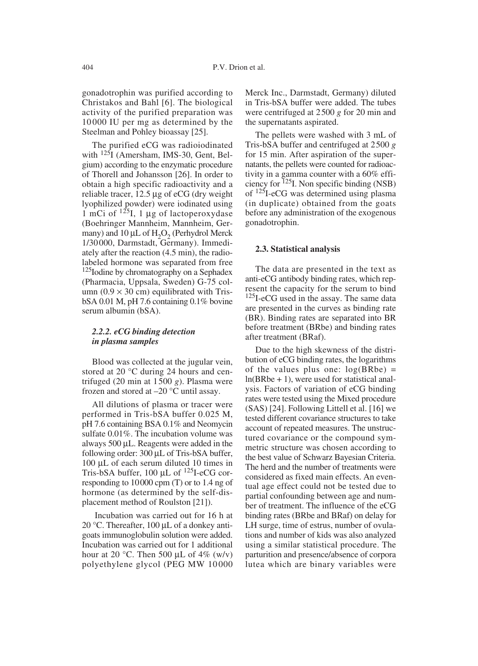gonadotrophin was purified according to Christakos and Bahl [6]. The biological activity of the purified preparation was 10000 IU per mg as determined by the Steelman and Pohley bioassay [25].

The purified eCG was radioiodinated with 125I (Amersham, IMS-30, Gent, Belgium) according to the enzymatic procedure of Thorell and Johansson [26]. In order to obtain a high specific radioactivity and a reliable tracer,  $12.5 \mu$ g of eCG (dry weight lyophilized powder) were iodinated using 1 mCi of  $1^{25}$ I, 1 µg of lactoperoxydase (Boehringer Mannheim, Mannheim, Germany) and 10  $\mu$ L of H<sub>2</sub>O<sub>2</sub> (Perhydrol Merck 1/30000, Darmstadt, Germany). Immediately after the reaction (4.5 min), the radiolabeled hormone was separated from free <sup>125</sup>Iodine by chromatography on a Sephadex (Pharmacia, Uppsala, Sweden) G-75 column  $(0.9 \times 30 \text{ cm})$  equilibrated with TrisbSA 0.01 M, pH 7.6 containing 0.1% bovine serum albumin (bSA).

# *2.2.2. eCG binding detection in plasma samples*

Blood was collected at the jugular vein, stored at 20 °C during 24 hours and centrifuged (20 min at 1500 *g*). Plasma were frozen and stored at –20 °C until assay.

All dilutions of plasma or tracer were performed in Tris-bSA buffer 0.025 M, pH 7.6 containing BSA 0.1% and Neomycin sulfate 0.01%. The incubation volume was always 500 µL. Reagents were added in the following order:  $300 \mu L$  of Tris-bSA buffer,  $100 \mu L$  of each serum diluted 10 times in Tris-bSA buffer,  $100 \mu L$  of  $^{125}$ I-eCG corresponding to 10000 cpm (T) or to 1.4 ng of hormone (as determined by the self-displacement method of Roulston [21]).

Incubation was carried out for 16 h at 20 °C. Thereafter, 100  $\mu$ L of a donkey antigoats immunoglobulin solution were added. Incubation was carried out for 1 additional hour at 20 °C. Then 500 µL of 4% (w/v) polyethylene glycol (PEG MW 10000 Merck Inc., Darmstadt, Germany) diluted in Tris-bSA buffer were added. The tubes were centrifuged at 2500 *g* for 20 min and the supernatants aspirated.

The pellets were washed with 3 mL of Tris-bSA buffer and centrifuged at 2500 *g* for 15 min. After aspiration of the supernatants, the pellets were counted for radioactivity in a gamma counter with a 60% efficiency for 125I. Non specific binding (NSB) of 125I-eCG was determined using plasma (in duplicate) obtained from the goats before any administration of the exogenous gonadotrophin.

#### **2.3. Statistical analysis**

The data are presented in the text as anti-eCG antibody binding rates, which represent the capacity for the serum to bind <sup>125</sup>I-eCG used in the assay. The same data are presented in the curves as binding rate (BR). Binding rates are separated into BR before treatment (BRbe) and binding rates after treatment (BRaf).

Due to the high skewness of the distribution of eCG binding rates, the logarithms of the values plus one:  $log(BRbe)$  = ln(BRbe + 1), were used for statistical analysis. Factors of variation of eCG binding rates were tested using the Mixed procedure (SAS) [24]. Following Littell et al. [16] we tested different covariance structures to take account of repeated measures. The unstructured covariance or the compound symmetric structure was chosen according to the best value of Schwarz Bayesian Criteria. The herd and the number of treatments were considered as fixed main effects. An eventual age effect could not be tested due to partial confounding between age and number of treatment. The influence of the eCG binding rates (BRbe and BRaf) on delay for LH surge, time of estrus, number of ovulations and number of kids was also analyzed using a similar statistical procedure. The parturition and presence/absence of corpora lutea which are binary variables were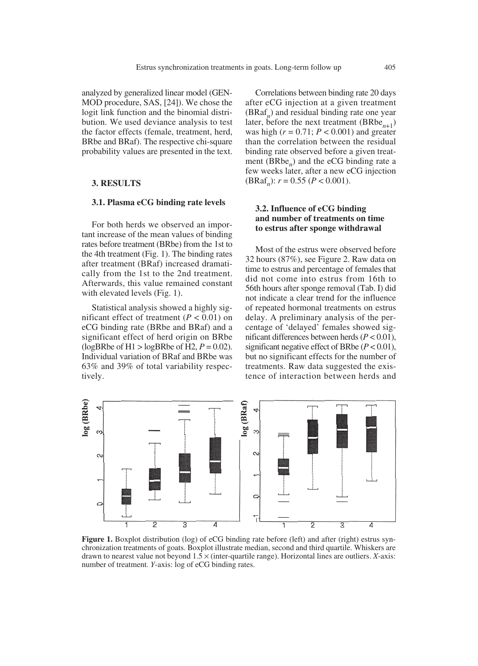analyzed by generalized linear model (GEN-MOD procedure, SAS, [24]). We chose the logit link function and the binomial distribution. We used deviance analysis to test the factor effects (female, treatment, herd, BRbe and BRaf). The respective chi-square probability values are presented in the text.

#### **3. RESULTS**

#### **3.1. Plasma eCG binding rate levels**

For both herds we observed an important increase of the mean values of binding rates before treatment (BRbe) from the 1st to the 4th treatment (Fig. 1). The binding rates after treatment (BRaf) increased dramatically from the 1st to the 2nd treatment. Afterwards, this value remained constant with elevated levels (Fig. 1).

Statistical analysis showed a highly significant effect of treatment  $(P < 0.01)$  on eCG binding rate (BRbe and BRaf) and a significant effect of herd origin on BRbe (logBRbe of H1 > logBRbe of H2,  $P = 0.02$ ). Individual variation of BRaf and BRbe was 63% and 39% of total variability respectively.

Correlations between binding rate 20 days after eCG injection at a given treatment (BRaf*n*) and residual binding rate one year later, before the next treatment  $(BRbe_{n+1})$ was high  $(r = 0.71; P < 0.001)$  and greater than the correlation between the residual binding rate observed before a given treatment (BRbe*n*) and the eCG binding rate a few weeks later, after a new eCG injection (BRaf*n*): *r* = 0.55 (*P* < 0.001).

# **3.2. Influence of eCG binding and number of treatments on time to estrus after sponge withdrawal**

Most of the estrus were observed before 32 hours (87%), see Figure 2. Raw data on time to estrus and percentage of females that did not come into estrus from 16th to 56th hours after sponge removal (Tab. I) did not indicate a clear trend for the influence of repeated hormonal treatments on estrus delay. A preliminary analysis of the percentage of 'delayed' females showed significant differences between herds (*P* < 0.01), significant negative effect of BRbe (*P* < 0.01), but no significant effects for the number of treatments. Raw data suggested the existence of interaction between herds and



**Figure 1.** Boxplot distribution (log) of eCG binding rate before (left) and after (right) estrus synchronization treatments of goats. Boxplot illustrate median, second and third quartile. Whiskers are drawn to nearest value not beyond  $1.5 \times$  (inter-quartile range). Horizontal lines are outliers. *X*-axis: number of treatment. *Y*-axis: log of eCG binding rates.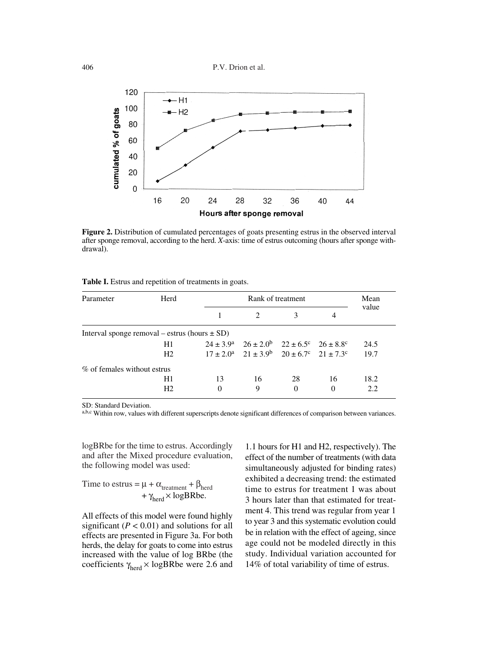

**Figure 2.** Distribution of cumulated percentages of goats presenting estrus in the observed interval after sponge removal, according to the herd. *X*-axis: time of estrus outcoming (hours after sponge withdrawal).

|  |  |  | Table I. Estrus and repetition of treatments in goats. |  |
|--|--|--|--------------------------------------------------------|--|
|  |  |  |                                                        |  |

| Parameter                                         | Herd           |          | Rank of treatment                                           |          |    |       |  |  |
|---------------------------------------------------|----------------|----------|-------------------------------------------------------------|----------|----|-------|--|--|
|                                                   |                |          |                                                             | 3        | 4  | value |  |  |
| Interval sponge removal – estrus (hours $\pm$ SD) |                |          |                                                             |          |    |       |  |  |
|                                                   | H1             |          | $24 \pm 3.9^a$ $26 \pm 2.0^b$ $22 \pm 6.5^c$ $26 \pm 8.8^c$ |          |    | 24.5  |  |  |
|                                                   | H <sub>2</sub> |          | $17 \pm 2.0^a$ $21 \pm 3.9^b$ $20 \pm 6.7^c$ $21 \pm 7.3^c$ |          |    | 19.7  |  |  |
| % of females without estrus                       |                |          |                                                             |          |    |       |  |  |
|                                                   | H1             | 13       | 16                                                          | 28       | 16 | 18.2  |  |  |
|                                                   | H <sub>2</sub> | $\Omega$ | 9                                                           | $\Omega$ | 0  | 2.2   |  |  |

SD: Standard Deviation.

a,b,c Within row, values with different superscripts denote significant differences of comparison between variances.

logBRbe for the time to estrus. Accordingly and after the Mixed procedure evaluation, the following model was used:

Time to estrus = 
$$
\mu + \alpha_{\text{treatment}} + \beta_{\text{herd}}
$$
  
+  $\gamma_{\text{herd}} \times \text{logBRbe}$ .

All effects of this model were found highly significant ( $P < 0.01$ ) and solutions for all effects are presented in Figure 3a. For both herds, the delay for goats to come into estrus increased with the value of log BRbe (the coefficients  $\gamma_{\text{herd}} \times \text{logBRbe}$  were 2.6 and

1.1 hours for H1 and H2, respectively). The effect of the number of treatments (with data simultaneously adjusted for binding rates) exhibited a decreasing trend: the estimated time to estrus for treatment 1 was about 3 hours later than that estimated for treatment 4. This trend was regular from year 1 to year 3 and this systematic evolution could be in relation with the effect of ageing, since age could not be modeled directly in this study. Individual variation accounted for 14% of total variability of time of estrus.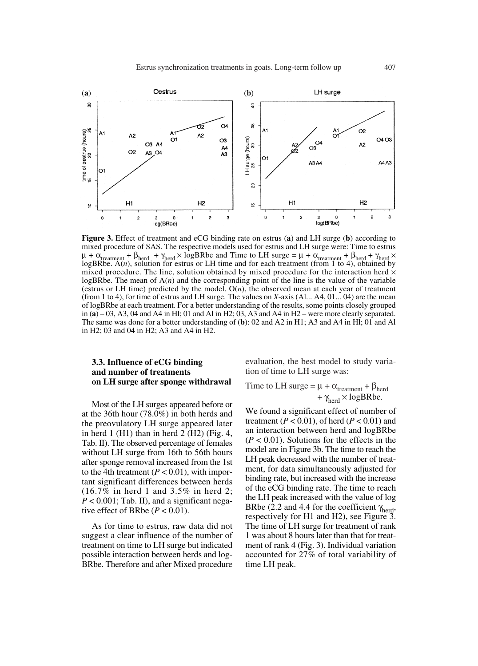

**Figure 3.** Effect of treatment and eCG binding rate on estrus (**a**) and LH surge (**b**) according to mixed procedure of SAS. The respective models used for estrus and LH surge were: Time to estrus  $\mu + \alpha_{\text{treatment}} + \beta_{\text{herd}} + \gamma_{\text{herd}} \times \log BR$ be and Time to LH surge =  $\mu + \alpha_{\text{treatment}} + \beta_{\text{herd}} + \gamma_{\text{herd}} \times$ logBRbe. A(*n*), solution for estrus or LH time and for each treatment (from 1 to 4), obtained by mixed procedure. The line, solution obtained by mixed procedure for the interaction herd  $\times$ logBRbe. The mean of A(*n*) and the corresponding point of the line is the value of the variable (estrus or LH time) predicted by the model. O(*n*), the observed mean at each year of treatment (from 1 to 4), for time of estrus and LH surge. The values on *X*-axis (Al... A4, 01... 04) are the mean of logBRbe at each treatment. For a better understanding of the results, some points closely grouped in  $(a)$  – 03, A3, 04 and A4 in Hl; 01 and A1 in H2; 03, A3 and A4 in H2 – were more clearly separated. The same was done for a better understanding of (**b**): 02 and A2 in H1; A3 and A4 in Hl; 01 and Al in H2; 03 and 04 in H2; A3 and A4 in H2.

# **3.3. Influence of eCG binding and number of treatments on LH surge after sponge withdrawal**

Most of the LH surges appeared before or at the 36th hour (78.0%) in both herds and the preovulatory LH surge appeared later in herd  $1$  (H1) than in herd  $2$  (H2) (Fig. 4, Tab. II). The observed percentage of females without LH surge from 16th to 56th hours after sponge removal increased from the 1st to the 4th treatment  $(P < 0.01)$ , with important significant differences between herds (16.7% in herd 1 and 3.5% in herd 2;  $P < 0.001$ ; Tab. II), and a significant negative effect of BRbe  $(P < 0.01)$ .

As for time to estrus, raw data did not suggest a clear influence of the number of treatment on time to LH surge but indicated possible interaction between herds and log-BRbe. Therefore and after Mixed procedure evaluation, the best model to study variation of time to LH surge was:

Time to LH surge = 
$$
\mu + \alpha_{\text{treatment}} + \beta_{\text{herd}}
$$
  
+  $\gamma_{\text{herd}} \times \text{logBRbe.}$ 

We found a significant effect of number of treatment (*P* < 0.01), of herd (*P* < 0.01) and an interaction between herd and logBRbe  $(P < 0.01)$ . Solutions for the effects in the model are in Figure 3b. The time to reach the LH peak decreased with the number of treatment, for data simultaneously adjusted for binding rate, but increased with the increase of the eCG binding rate. The time to reach the LH peak increased with the value of log BRbe (2.2 and 4.4 for the coefficient  $\gamma_{\text{herd}}$ , respectively for H1 and H2), see Figure 3. The time of LH surge for treatment of rank 1 was about 8 hours later than that for treatment of rank 4 (Fig. 3). Individual variation accounted for 27% of total variability of time LH peak.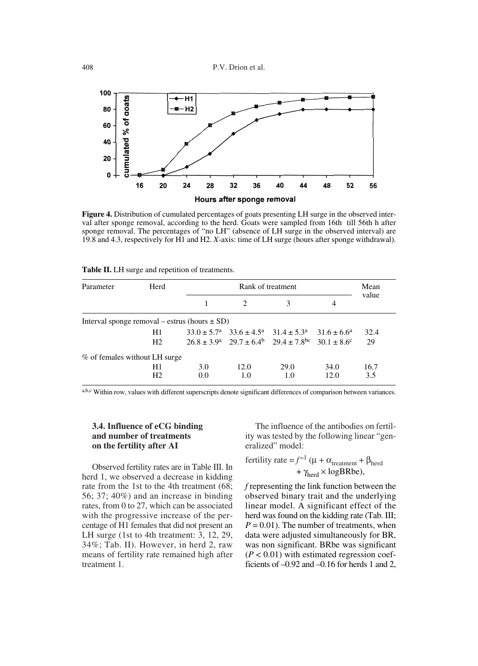

**Figure 4.** Distribution of cumulated percentages of goats presenting LH surge in the observed interval after sponge removal, according to the herd. Goats were sampled from 16th till 56th h after sponge removal. The percentages of "no LH" (absence of LH surge in the observed interval) are 19.8 and 4.3, respectively for H1 and H2. *X*-axis: time of LH surge (hours after sponge withdrawal).

|  |  |  |  |  |  |  | Table II. LH surge and repetition of treatments. |
|--|--|--|--|--|--|--|--------------------------------------------------|
|--|--|--|--|--|--|--|--------------------------------------------------|

| Parameter                                         | Herd           |     | Rank of treatment           |                                                                                 |      |       |  |  |
|---------------------------------------------------|----------------|-----|-----------------------------|---------------------------------------------------------------------------------|------|-------|--|--|
|                                                   |                |     | $\mathcal{D}_{\mathcal{A}}$ |                                                                                 | 4    | value |  |  |
| Interval sponge removal – estrus (hours $\pm$ SD) |                |     |                             |                                                                                 |      |       |  |  |
|                                                   | H1             |     |                             | $33.0 \pm 5.7^a$ $33.6 \pm 4.5^a$ $31.4 \pm 5.3^a$ $31.6 \pm 6.6^a$             |      | 32.4  |  |  |
|                                                   | H <sub>2</sub> |     |                             | $26.8 \pm 3.9^a$ $29.7 \pm 6.4^b$ $29.4 \pm 7.8^{\circ}$ $30.1 \pm 8.6^{\circ}$ |      | 29    |  |  |
| % of females without LH surge                     |                |     |                             |                                                                                 |      |       |  |  |
|                                                   | H1             | 3.0 | 12.0                        | 29.0                                                                            | 34.0 | 16.7  |  |  |
|                                                   | H <sub>2</sub> | 0.0 | 1.0                         | 1.0                                                                             | 12.0 | 3.5   |  |  |

a,b,c Within row, values with different superscripts denote significant differences of comparison between variances.

# **3.4. Influence of eCG binding and number of treatments on the fertility after AI**

Observed fertility rates are in Table III. In herd 1, we observed a decrease in kidding rate from the 1st to the 4th treatment (68; 56; 37; 40%) and an increase in binding rates, from 0 to 27, which can be associated with the progressive increase of the percentage of H1 females that did not present an LH surge (1st to 4th treatment: 3, 12, 29, 34%; Tab. II). However, in herd 2, raw means of fertility rate remained high after treatment 1.

The influence of the antibodies on fertility was tested by the following linear "generalized" model:

fertility rate = 
$$
f^{-1}
$$
 ( $\mu + \alpha_{\text{treatment}} + \beta_{\text{herd}}$   
+  $\gamma_{\text{herd}} \times \text{logBRe}$ ),

*f* representing the link function between the observed binary trait and the underlying linear model. A significant effect of the herd was found on the kidding rate (Tab. III;  $P = 0.01$ ). The number of treatments, when data were adjusted simultaneously for BR, was non significant. BRbe was significant  $(P < 0.01)$  with estimated regression coefficients of –0.92 and –0.16 for herds 1 and 2,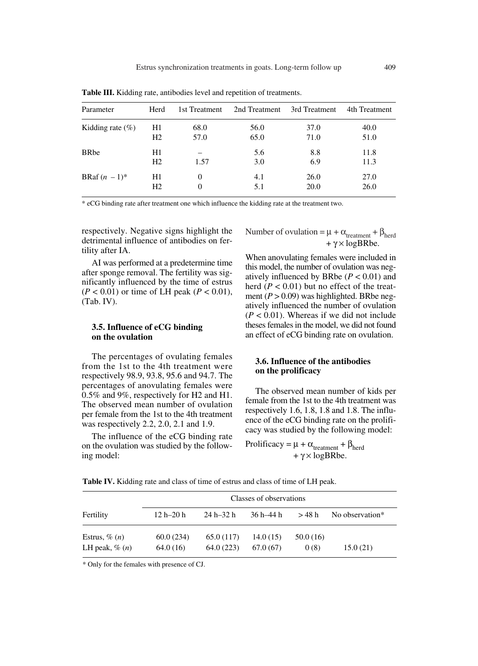| Parameter            | Herd           | 1st Treatment | 2nd Treatment | 3rd Treatment | 4th Treatment |
|----------------------|----------------|---------------|---------------|---------------|---------------|
| Kidding rate $(\% )$ | H1             | 68.0          | 56.0          | 37.0          | 40.0          |
|                      | H <sub>2</sub> | 57.0          | 65.0          | 71.0          | 51.0          |
| <b>BRbe</b>          | H1             |               | 5.6           | 8.8           | 11.8          |
|                      | H <sub>2</sub> | 1.57          | 3.0           | 6.9           | 11.3          |
| BRaf $(n-1)^*$       | H1             | 0             | 4.1           | 26.0          | 27.0          |
|                      | H <sub>2</sub> | 0             | 5.1           | 20.0          | 26.0          |

**Table III.** Kidding rate, antibodies level and repetition of treatments.

\* eCG binding rate after treatment one which influence the kidding rate at the treatment two.

respectively. Negative signs highlight the detrimental influence of antibodies on fertility after IA.

AI was performed at a predetermine time after sponge removal. The fertility was significantly influenced by the time of estrus (*P* < 0.01) or time of LH peak (*P* < 0.01), (Tab. IV).

# **3.5. Influence of eCG binding on the ovulation**

The percentages of ovulating females from the 1st to the 4th treatment were respectively 98.9, 93.8, 95.6 and 94.7. The percentages of anovulating females were 0.5% and 9%, respectively for H2 and H1. The observed mean number of ovulation per female from the 1st to the 4th treatment was respectively 2.2, 2.0, 2.1 and 1.9.

The influence of the eCG binding rate on the ovulation was studied by the following model:

Number of ovulation =  $\mu + \alpha_{\text{treatment}} + \beta_{\text{herd}}$  $+ \gamma \times \log$ BRbe.

When anovulating females were included in this model, the number of ovulation was negatively influenced by BRbe  $(P < 0.01)$  and herd  $(P < 0.01)$  but no effect of the treatment  $(P > 0.09)$  was highlighted. BRbe negatively influenced the number of ovulation  $(P < 0.01)$ . Whereas if we did not include theses females in the model, we did not found an effect of eCG binding rate on ovulation.

# **3.6. Influence of the antibodies on the prolificacy**

The observed mean number of kids per female from the 1st to the 4th treatment was respectively 1.6, 1.8, 1.8 and 1.8. The influence of the eCG binding rate on the prolificacy was studied by the following model:

Prolificacy =  $\mu$  +  $\alpha$ <sub>treatment</sub> +  $\beta$ <sub>herd</sub>  $+ \gamma \times \log$ BRbe.

|                     | Classes of observations |               |           |          |                 |  |  |
|---------------------|-------------------------|---------------|-----------|----------|-----------------|--|--|
| Fertility           | $12h - 20h$             | $24 h - 32 h$ | 36 h–44 h | > 48 h   | No observation* |  |  |
| Estrus, $\%$ $(n)$  | 60.0(234)               | 65.0 (117)    | 14.0(15)  | 50.0(16) |                 |  |  |
| LH peak, $\%$ $(n)$ | 64.0(16)                | 64.0 (223)    | 67.0(67)  | 0(8)     | 15.0(21)        |  |  |

**Table IV.** Kidding rate and class of time of estrus and class of time of LH peak.

\* Only for the females with presence of CJ.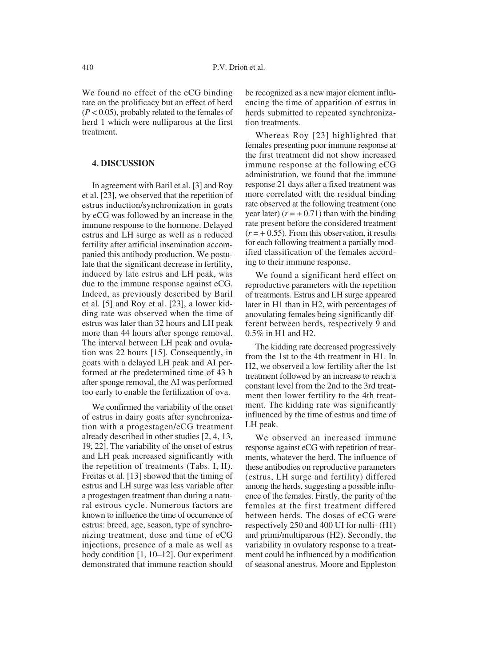We found no effect of the eCG binding rate on the prolificacy but an effect of herd (*P* < 0.05), probably related to the females of herd 1 which were nulliparous at the first treatment.

#### **4. DISCUSSION**

In agreement with Baril et al. [3] and Roy et al. [23], we observed that the repetition of estrus induction/synchronization in goats by eCG was followed by an increase in the immune response to the hormone. Delayed estrus and LH surge as well as a reduced fertility after artificial insemination accompanied this antibody production. We postulate that the significant decrease in fertility, induced by late estrus and LH peak, was due to the immune response against eCG. Indeed, as previously described by Baril et al. [5] and Roy et al. [23], a lower kidding rate was observed when the time of estrus was later than 32 hours and LH peak more than 44 hours after sponge removal. The interval between LH peak and ovulation was 22 hours [15]. Consequently, in goats with a delayed LH peak and AI performed at the predetermined time of 43 h after sponge removal, the AI was performed too early to enable the fertilization of ova.

We confirmed the variability of the onset of estrus in dairy goats after synchronization with a progestagen/eCG treatment already described in other studies [2, 4, 13, 19, 22]. The variability of the onset of estrus and LH peak increased significantly with the repetition of treatments (Tabs. I, II). Freitas et al. [13] showed that the timing of estrus and LH surge was less variable after a progestagen treatment than during a natural estrous cycle. Numerous factors are known to influence the time of occurrence of estrus: breed, age, season, type of synchronizing treatment, dose and time of eCG injections, presence of a male as well as body condition [1, 10–12]. Our experiment demonstrated that immune reaction should be recognized as a new major element influencing the time of apparition of estrus in herds submitted to repeated synchronization treatments.

Whereas Roy [23] highlighted that females presenting poor immune response at the first treatment did not show increased immune response at the following eCG administration, we found that the immune response 21 days after a fixed treatment was more correlated with the residual binding rate observed at the following treatment (one year later)  $(r = +0.71)$  than with the binding rate present before the considered treatment  $(r = +0.55)$ . From this observation, it results for each following treatment a partially modified classification of the females according to their immune response.

We found a significant herd effect on reproductive parameters with the repetition of treatments. Estrus and LH surge appeared later in H1 than in H2, with percentages of anovulating females being significantly different between herds, respectively 9 and 0.5% in H1 and H2.

The kidding rate decreased progressively from the 1st to the 4th treatment in H1. In H2, we observed a low fertility after the 1st treatment followed by an increase to reach a constant level from the 2nd to the 3rd treatment then lower fertility to the 4th treatment. The kidding rate was significantly influenced by the time of estrus and time of LH peak.

We observed an increased immune response against eCG with repetition of treatments, whatever the herd. The influence of these antibodies on reproductive parameters (estrus, LH surge and fertility) differed among the herds, suggesting a possible influence of the females. Firstly, the parity of the females at the first treatment differed between herds. The doses of eCG were respectively 250 and 400 UI for nulli- (H1) and primi/multiparous (H2). Secondly, the variability in ovulatory response to a treatment could be influenced by a modification of seasonal anestrus. Moore and Eppleston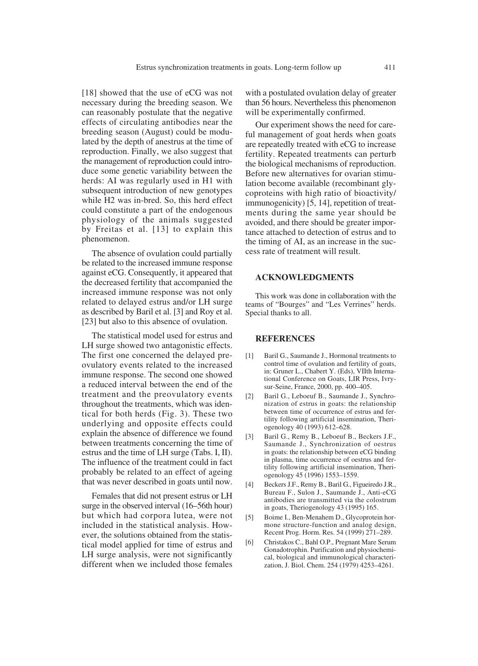[18] showed that the use of eCG was not necessary during the breeding season. We can reasonably postulate that the negative effects of circulating antibodies near the breeding season (August) could be modulated by the depth of anestrus at the time of reproduction. Finally, we also suggest that the management of reproduction could introduce some genetic variability between the herds: AI was regularly used in H1 with subsequent introduction of new genotypes while H2 was in-bred. So, this herd effect could constitute a part of the endogenous physiology of the animals suggested by Freitas et al. [13] to explain this phenomenon.

The absence of ovulation could partially be related to the increased immune response against eCG. Consequently, it appeared that the decreased fertility that accompanied the increased immune response was not only related to delayed estrus and/or LH surge as described by Baril et al. [3] and Roy et al. [23] but also to this absence of ovulation.

The statistical model used for estrus and LH surge showed two antagonistic effects. The first one concerned the delayed preovulatory events related to the increased immune response. The second one showed a reduced interval between the end of the treatment and the preovulatory events throughout the treatments, which was identical for both herds (Fig. 3). These two underlying and opposite effects could explain the absence of difference we found between treatments concerning the time of estrus and the time of LH surge (Tabs. I, II). The influence of the treatment could in fact probably be related to an effect of ageing that was never described in goats until now.

Females that did not present estrus or LH surge in the observed interval (16–56th hour) but which had corpora lutea, were not included in the statistical analysis. However, the solutions obtained from the statistical model applied for time of estrus and LH surge analysis, were not significantly different when we included those females with a postulated ovulation delay of greater than 56 hours. Nevertheless this phenomenon will be experimentally confirmed.

Our experiment shows the need for careful management of goat herds when goats are repeatedly treated with eCG to increase fertility. Repeated treatments can perturb the biological mechanisms of reproduction. Before new alternatives for ovarian stimulation become available (recombinant glycoproteins with high ratio of bioactivity/ immunogenicity) [5, 14], repetition of treatments during the same year should be avoided, and there should be greater importance attached to detection of estrus and to the timing of AI, as an increase in the success rate of treatment will result.

# **ACKNOWLEDGMENTS**

This work was done in collaboration with the teams of "Bourges" and "Les Verrines" herds. Special thanks to all.

#### **REFERENCES**

- [1] Baril G., Saumande J., Hormonal treatments to control time of ovulation and fertility of goats, in: Gruner L., Chabert Y. (Eds), VIIth International Conference on Goats, LIR Press, Ivrysur-Seine, France, 2000, pp. 400–405.
- [2] Baril G., Leboeuf B., Saumande J., Synchronization of estrus in goats: the relationship between time of occurrence of estrus and fertility following artificial insemination, Theriogenology 40 (1993) 612–628.
- [3] Baril G., Remy B., Leboeuf B., Beckers J.F., Saumande J., Synchronization of oestrus in goats: the relationship between eCG binding in plasma, time occurrence of oestrus and fertility following artificial insemination, Theriogenology 45 (1996) 1553–1559.
- [4] Beckers J.F., Remy B., Baril G., Figueiredo J.R., Bureau F., Sulon J., Saumande J., Anti-eCG antibodies are transmitted via the colostrum in goats, Theriogenology 43 (1995) 165.
- [5] Boime I., Ben-Menahem D., Glycoprotein hormone structure-function and analog design, Recent Prog. Horm. Res. 54 (1999) 271–289.
- [6] Christakos C., Bahl O.P., Pregnant Mare Serum Gonadotrophin. Purification and physiochemical, biological and immunological characterization, J. Biol. Chem. 254 (1979) 4253–4261.